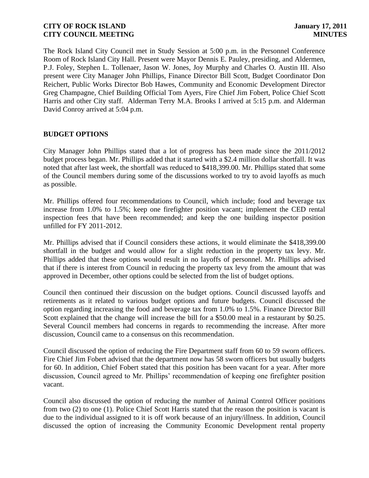The Rock Island City Council met in Study Session at 5:00 p.m. in the Personnel Conference Room of Rock Island City Hall. Present were Mayor Dennis E. Pauley, presiding, and Aldermen, P.J. Foley, Stephen L. Tollenaer, Jason W. Jones, Joy Murphy and Charles O. Austin III. Also present were City Manager John Phillips, Finance Director Bill Scott, Budget Coordinator Don Reichert, Public Works Director Bob Hawes, Community and Economic Development Director Greg Champagne, Chief Building Official Tom Ayers, Fire Chief Jim Fobert, Police Chief Scott Harris and other City staff. Alderman Terry M.A. Brooks I arrived at 5:15 p.m. and Alderman David Conroy arrived at 5:04 p.m.

### **BUDGET OPTIONS**

City Manager John Phillips stated that a lot of progress has been made since the 2011/2012 budget process began. Mr. Phillips added that it started with a \$2.4 million dollar shortfall. It was noted that after last week, the shortfall was reduced to \$418,399.00. Mr. Phillips stated that some of the Council members during some of the discussions worked to try to avoid layoffs as much as possible.

Mr. Phillips offered four recommendations to Council, which include; food and beverage tax increase from 1.0% to 1.5%; keep one firefighter position vacant; implement the CED rental inspection fees that have been recommended; and keep the one building inspector position unfilled for FY 2011-2012.

Mr. Phillips advised that if Council considers these actions, it would eliminate the \$418,399.00 shortfall in the budget and would allow for a slight reduction in the property tax levy. Mr. Phillips added that these options would result in no layoffs of personnel. Mr. Phillips advised that if there is interest from Council in reducing the property tax levy from the amount that was approved in December, other options could be selected from the list of budget options.

Council then continued their discussion on the budget options. Council discussed layoffs and retirements as it related to various budget options and future budgets. Council discussed the option regarding increasing the food and beverage tax from 1.0% to 1.5%. Finance Director Bill Scott explained that the change will increase the bill for a \$50.00 meal in a restaurant by \$0.25. Several Council members had concerns in regards to recommending the increase. After more discussion, Council came to a consensus on this recommendation.

Council discussed the option of reducing the Fire Department staff from 60 to 59 sworn officers. Fire Chief Jim Fobert advised that the department now has 58 sworn officers but usually budgets for 60. In addition, Chief Fobert stated that this position has been vacant for a year. After more discussion, Council agreed to Mr. Phillips' recommendation of keeping one firefighter position vacant.

Council also discussed the option of reducing the number of Animal Control Officer positions from two (2) to one (1). Police Chief Scott Harris stated that the reason the position is vacant is due to the individual assigned to it is off work because of an injury/illness. In addition, Council discussed the option of increasing the Community Economic Development rental property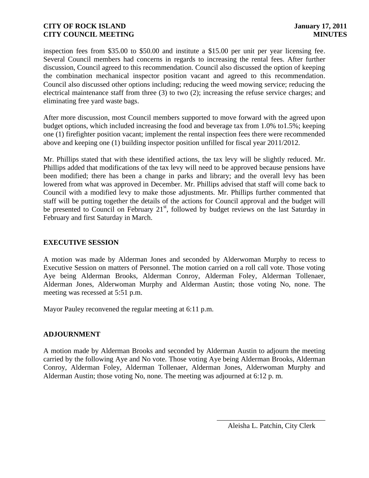inspection fees from \$35.00 to \$50.00 and institute a \$15.00 per unit per year licensing fee. Several Council members had concerns in regards to increasing the rental fees. After further discussion, Council agreed to this recommendation. Council also discussed the option of keeping the combination mechanical inspector position vacant and agreed to this recommendation. Council also discussed other options including; reducing the weed mowing service; reducing the electrical maintenance staff from three (3) to two (2); increasing the refuse service charges; and eliminating free yard waste bags.

After more discussion, most Council members supported to move forward with the agreed upon budget options, which included increasing the food and beverage tax from 1.0% to1.5%; keeping one (1) firefighter position vacant; implement the rental inspection fees there were recommended above and keeping one (1) building inspector position unfilled for fiscal year 2011/2012.

Mr. Phillips stated that with these identified actions, the tax levy will be slightly reduced. Mr. Phillips added that modifications of the tax levy will need to be approved because pensions have been modified; there has been a change in parks and library; and the overall levy has been lowered from what was approved in December. Mr. Phillips advised that staff will come back to Council with a modified levy to make those adjustments. Mr. Phillips further commented that staff will be putting together the details of the actions for Council approval and the budget will be presented to Council on February  $21<sup>st</sup>$ , followed by budget reviews on the last Saturday in February and first Saturday in March.

### **EXECUTIVE SESSION**

A motion was made by Alderman Jones and seconded by Alderwoman Murphy to recess to Executive Session on matters of Personnel. The motion carried on a roll call vote. Those voting Aye being Alderman Brooks, Alderman Conroy, Alderman Foley, Alderman Tollenaer, Alderman Jones, Alderwoman Murphy and Alderman Austin; those voting No, none. The meeting was recessed at 5:51 p.m.

Mayor Pauley reconvened the regular meeting at 6:11 p.m.

## **ADJOURNMENT**

A motion made by Alderman Brooks and seconded by Alderman Austin to adjourn the meeting carried by the following Aye and No vote. Those voting Aye being Alderman Brooks, Alderman Conroy, Alderman Foley, Alderman Tollenaer, Alderman Jones, Alderwoman Murphy and Alderman Austin; those voting No, none. The meeting was adjourned at 6:12 p. m.

\_\_\_\_\_\_\_\_\_\_\_\_\_\_\_\_\_\_\_\_\_\_\_\_\_\_\_\_\_\_ Aleisha L. Patchin, City Clerk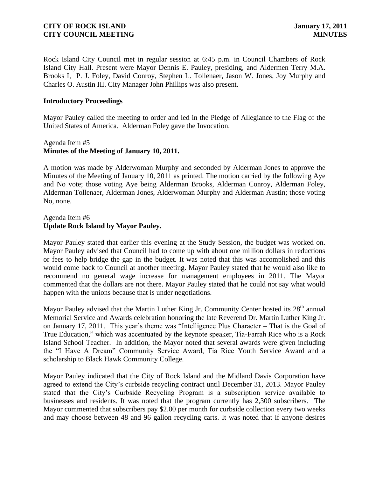Rock Island City Council met in regular session at 6:45 p.m. in Council Chambers of Rock Island City Hall. Present were Mayor Dennis E. Pauley, presiding, and Aldermen Terry M.A. Brooks I, P. J. Foley, David Conroy, Stephen L. Tollenaer, Jason W. Jones, Joy Murphy and Charles O. Austin III. City Manager John Phillips was also present.

#### **Introductory Proceedings**

Mayor Pauley called the meeting to order and led in the Pledge of Allegiance to the Flag of the United States of America. Alderman Foley gave the Invocation.

### Agenda Item #5 **Minutes of the Meeting of January 10, 2011.**

A motion was made by Alderwoman Murphy and seconded by Alderman Jones to approve the Minutes of the Meeting of January 10, 2011 as printed. The motion carried by the following Aye and No vote; those voting Aye being Alderman Brooks, Alderman Conroy, Alderman Foley, Alderman Tollenaer, Alderman Jones, Alderwoman Murphy and Alderman Austin; those voting No, none.

#### Agenda Item #6 **Update Rock Island by Mayor Pauley.**

Mayor Pauley stated that earlier this evening at the Study Session, the budget was worked on. Mayor Pauley advised that Council had to come up with about one million dollars in reductions or fees to help bridge the gap in the budget. It was noted that this was accomplished and this would come back to Council at another meeting. Mayor Pauley stated that he would also like to recommend no general wage increase for management employees in 2011. The Mayor commented that the dollars are not there. Mayor Pauley stated that he could not say what would happen with the unions because that is under negotiations.

Mayor Pauley advised that the Martin Luther King Jr. Community Center hosted its 28<sup>th</sup> annual Memorial Service and Awards celebration honoring the late Reverend Dr. Martin Luther King Jr. on January 17, 2011. This year's theme was "Intelligence Plus Character – That is the Goal of True Education," which was accentuated by the keynote speaker, Tia-Farrah Rice who is a Rock Island School Teacher. In addition, the Mayor noted that several awards were given including the "I Have A Dream" Community Service Award, Tia Rice Youth Service Award and a scholarship to Black Hawk Community College.

Mayor Pauley indicated that the City of Rock Island and the Midland Davis Corporation have agreed to extend the City's curbside recycling contract until December 31, 2013. Mayor Pauley stated that the City's Curbside Recycling Program is a subscription service available to businesses and residents. It was noted that the program currently has 2,300 subscribers. The Mayor commented that subscribers pay \$2.00 per month for curbside collection every two weeks and may choose between 48 and 96 gallon recycling carts. It was noted that if anyone desires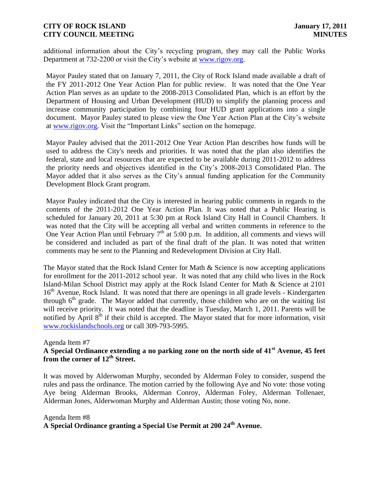additional information about the City's recycling program, they may call the Public Works Department at 732-2200 or visit the City's website at [www.rigov.org.](http://www.rigov.org/)

Mayor Pauley stated that on January 7, 2011, the City of Rock Island made available a draft of the FY 2011-2012 One Year Action Plan for public review. It was noted that the One Year Action Plan serves as an update to the 2008-2013 Consolidated Plan, which is an effort by the Department of Housing and Urban Development (HUD) to simplify the planning process and increase community participation by combining four HUD grant applications into a single document. Mayor Pauley stated to please view the One Year Action Plan at the City's website at [www.rigov.org.](http://www.rigov.org/) Visit the "Important Links" section on the homepage.

Mayor Pauley advised that the 2011-2012 One Year Action Plan describes how funds will be used to address the City's needs and priorities. It was noted that the plan also identifies the federal, state and local resources that are expected to be available during 2011-2012 to address the priority needs and objectives identified in the City's 2008-2013 Consolidated Plan. The Mayor added that it also serves as the City's annual funding application for the Community Development Block Grant program.

Mayor Pauley indicated that the City is interested in hearing public comments in regards to the contents of the 2011-2012 One Year Action Plan. It was noted that a Public Hearing is scheduled for January 20, 2011 at 5:30 pm at Rock Island City Hall in Council Chambers. It was noted that the City will be accepting all verbal and written comments in reference to the One Year Action Plan until February  $7<sup>th</sup>$  at 5:00 p.m. In addition, all comments and views will be considered and included as part of the final draft of the plan. It was noted that written comments may be sent to the Planning and Redevelopment Division at City Hall.

The Mayor stated that the Rock Island Center for Math  $\&$  Science is now accepting applications for enrollment for the 2011-2012 school year. It was noted that any child who lives in the Rock Island-Milan School District may apply at the Rock Island Center for Math & Science at 2101 16<sup>th</sup> Avenue, Rock Island. It was noted that there are openings in all grade levels - Kindergarten through  $6<sup>th</sup>$  grade. The Mayor added that currently, those children who are on the waiting list will receive priority. It was noted that the deadline is Tuesday, March 1, 2011. Parents will be notified by April  $8<sup>th</sup>$  if their child is accepted. The Mayor stated that for more information, visit [www.rockislandschools.org](http://www.rockislandschools.org/) or call 309-793-5995.

#### Agenda Item #7

# **A Special Ordinance extending a no parking zone on the north side of 41st Avenue, 45 feet from the corner of 12th Street.**

It was moved by Alderwoman Murphy, seconded by Alderman Foley to consider, suspend the rules and pass the ordinance. The motion carried by the following Aye and No vote: those voting Aye being Alderman Brooks, Alderman Conroy, Alderman Foley, Alderman Tollenaer, Alderman Jones, Alderwoman Murphy and Alderman Austin; those voting No, none.

#### Agenda Item #8 **A Special Ordinance granting a Special Use Permit at 200 24th Avenue.**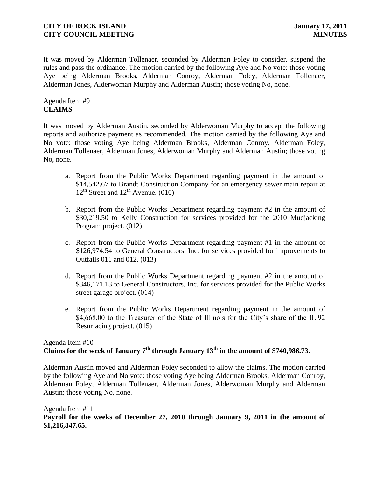It was moved by Alderman Tollenaer, seconded by Alderman Foley to consider, suspend the rules and pass the ordinance. The motion carried by the following Aye and No vote: those voting Aye being Alderman Brooks, Alderman Conroy, Alderman Foley, Alderman Tollenaer, Alderman Jones, Alderwoman Murphy and Alderman Austin; those voting No, none.

### Agenda Item #9 **CLAIMS**

It was moved by Alderman Austin, seconded by Alderwoman Murphy to accept the following reports and authorize payment as recommended. The motion carried by the following Aye and No vote: those voting Aye being Alderman Brooks, Alderman Conroy, Alderman Foley, Alderman Tollenaer, Alderman Jones, Alderwoman Murphy and Alderman Austin; those voting No, none.

- a. Report from the Public Works Department regarding payment in the amount of \$14,542.67 to Brandt Construction Company for an emergency sewer main repair at  $12^{th}$  Street and  $12^{th}$  Avenue. (010)
- b. Report from the Public Works Department regarding payment #2 in the amount of \$30,219.50 to Kelly Construction for services provided for the 2010 Mudjacking Program project. (012)
- c. Report from the Public Works Department regarding payment #1 in the amount of \$126,974.54 to General Constructors, Inc. for services provided for improvements to Outfalls 011 and 012. (013)
- d. Report from the Public Works Department regarding payment #2 in the amount of \$346,171.13 to General Constructors, Inc. for services provided for the Public Works street garage project. (014)
- e. Report from the Public Works Department regarding payment in the amount of \$4,668.00 to the Treasurer of the State of Illinois for the City's share of the IL.92 Resurfacing project. (015)

## Agenda Item #10 **Claims for the week of January 7th through January 13th in the amount of \$740,986.73.**

Alderman Austin moved and Alderman Foley seconded to allow the claims. The motion carried by the following Aye and No vote: those voting Aye being Alderman Brooks, Alderman Conroy, Alderman Foley, Alderman Tollenaer, Alderman Jones, Alderwoman Murphy and Alderman Austin; those voting No, none.

#### Agenda Item #11 **Payroll for the weeks of December 27, 2010 through January 9, 2011 in the amount of \$1,216,847.65.**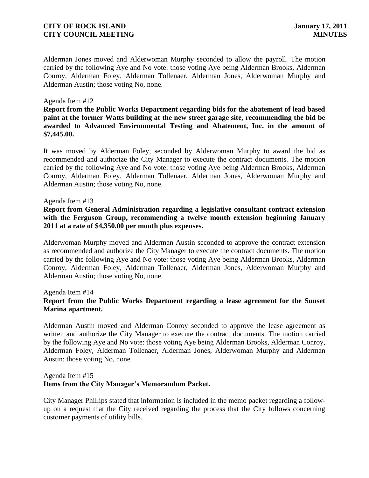Alderman Jones moved and Alderwoman Murphy seconded to allow the payroll. The motion carried by the following Aye and No vote: those voting Aye being Alderman Brooks, Alderman Conroy, Alderman Foley, Alderman Tollenaer, Alderman Jones, Alderwoman Murphy and Alderman Austin; those voting No, none.

#### Agenda Item #12

**Report from the Public Works Department regarding bids for the abatement of lead based paint at the former Watts building at the new street garage site, recommending the bid be awarded to Advanced Environmental Testing and Abatement, Inc. in the amount of \$7,445.00.** 

It was moved by Alderman Foley, seconded by Alderwoman Murphy to award the bid as recommended and authorize the City Manager to execute the contract documents. The motion carried by the following Aye and No vote: those voting Aye being Alderman Brooks, Alderman Conroy, Alderman Foley, Alderman Tollenaer, Alderman Jones, Alderwoman Murphy and Alderman Austin; those voting No, none.

#### Agenda Item #13

#### **Report from General Administration regarding a legislative consultant contract extension with the Ferguson Group, recommending a twelve month extension beginning January 2011 at a rate of \$4,350.00 per month plus expenses.**

Alderwoman Murphy moved and Alderman Austin seconded to approve the contract extension as recommended and authorize the City Manager to execute the contract documents. The motion carried by the following Aye and No vote: those voting Aye being Alderman Brooks, Alderman Conroy, Alderman Foley, Alderman Tollenaer, Alderman Jones, Alderwoman Murphy and Alderman Austin; those voting No, none.

#### Agenda Item #14

### **Report from the Public Works Department regarding a lease agreement for the Sunset Marina apartment.**

Alderman Austin moved and Alderman Conroy seconded to approve the lease agreement as written and authorize the City Manager to execute the contract documents. The motion carried by the following Aye and No vote: those voting Aye being Alderman Brooks, Alderman Conroy, Alderman Foley, Alderman Tollenaer, Alderman Jones, Alderwoman Murphy and Alderman Austin; those voting No, none.

#### Agenda Item #15 **Items from the City Manager's Memorandum Packet.**

City Manager Phillips stated that information is included in the memo packet regarding a followup on a request that the City received regarding the process that the City follows concerning customer payments of utility bills.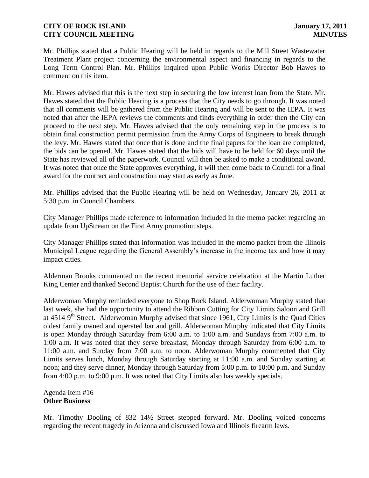Mr. Phillips stated that a Public Hearing will be held in regards to the Mill Street Wastewater Treatment Plant project concerning the environmental aspect and financing in regards to the Long Term Control Plan. Mr. Phillips inquired upon Public Works Director Bob Hawes to comment on this item.

Mr. Hawes advised that this is the next step in securing the low interest loan from the State. Mr. Hawes stated that the Public Hearing is a process that the City needs to go through. It was noted that all comments will be gathered from the Public Hearing and will be sent to the IEPA. It was noted that after the IEPA reviews the comments and finds everything in order then the City can proceed to the next step. Mr. Hawes advised that the only remaining step in the process is to obtain final construction permit permission from the Army Corps of Engineers to break through the levy. Mr. Hawes stated that once that is done and the final papers for the loan are completed, the bids can be opened. Mr. Hawes stated that the bids will have to be held for 60 days until the State has reviewed all of the paperwork. Council will then be asked to make a conditional award. It was noted that once the State approves everything, it will then come back to Council for a final award for the contract and construction may start as early as June.

Mr. Phillips advised that the Public Hearing will be held on Wednesday, January 26, 2011 at 5:30 p.m. in Council Chambers.

City Manager Phillips made reference to information included in the memo packet regarding an update from UpStream on the First Army promotion steps.

City Manager Phillips stated that information was included in the memo packet from the Illinois Municipal League regarding the General Assembly's increase in the income tax and how it may impact cities.

Alderman Brooks commented on the recent memorial service celebration at the Martin Luther King Center and thanked Second Baptist Church for the use of their facility.

Alderwoman Murphy reminded everyone to Shop Rock Island. Alderwoman Murphy stated that last week, she had the opportunity to attend the Ribbon Cutting for City Limits Saloon and Grill at 4514 9<sup>th</sup> Street. Alderwoman Murphy advised that since 1961, City Limits is the Quad Cities oldest family owned and operated bar and grill. Alderwoman Murphy indicated that City Limits is open Monday through Saturday from 6:00 a.m. to 1:00 a.m. and Sundays from 7:00 a.m. to 1:00 a.m. It was noted that they serve breakfast, Monday through Saturday from 6:00 a.m. to 11:00 a.m. and Sunday from 7:00 a.m. to noon. Alderwoman Murphy commented that City Limits serves lunch, Monday through Saturday starting at 11:00 a.m. and Sunday starting at noon; and they serve dinner, Monday through Saturday from 5:00 p.m. to 10:00 p.m. and Sunday from 4:00 p.m. to 9:00 p.m. It was noted that City Limits also has weekly specials.

Agenda Item #16 **Other Business**

Mr. Timothy Dooling of 832 14½ Street stepped forward. Mr. Dooling voiced concerns regarding the recent tragedy in Arizona and discussed Iowa and Illinois firearm laws.